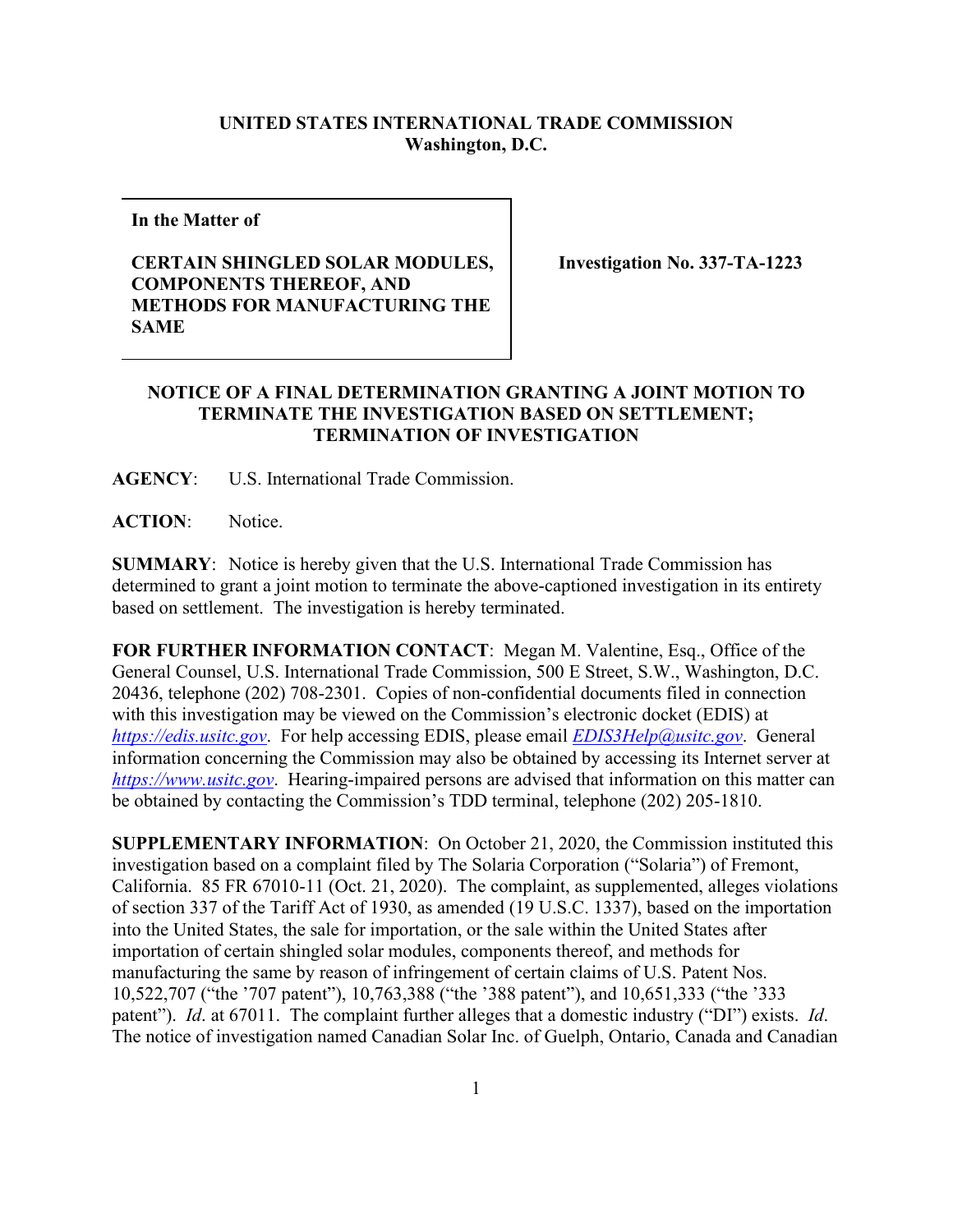## **UNITED STATES INTERNATIONAL TRADE COMMISSION Washington, D.C.**

**In the Matter of** 

## **CERTAIN SHINGLED SOLAR MODULES, COMPONENTS THEREOF, AND METHODS FOR MANUFACTURING THE SAME**

**Investigation No. 337-TA-1223** 

## **NOTICE OF A FINAL DETERMINATION GRANTING A JOINT MOTION TO TERMINATE THE INVESTIGATION BASED ON SETTLEMENT; TERMINATION OF INVESTIGATION**

**AGENCY**: U.S. International Trade Commission.

**ACTION**: Notice.

**SUMMARY**: Notice is hereby given that the U.S. International Trade Commission has determined to grant a joint motion to terminate the above-captioned investigation in its entirety based on settlement. The investigation is hereby terminated.

**FOR FURTHER INFORMATION CONTACT**: Megan M. Valentine, Esq., Office of the General Counsel, U.S. International Trade Commission, 500 E Street, S.W., Washington, D.C. 20436, telephone (202) 708-2301. Copies of non-confidential documents filed in connection with this investigation may be viewed on the Commission's electronic docket (EDIS) at *[https://edis.usitc.gov](https://edis.usitc.gov/)*. For help accessing EDIS, please email *[EDIS3Help@usitc.gov](mailto:EDIS3Help@usitc.gov)*. General information concerning the Commission may also be obtained by accessing its Internet server at *[https://www.usitc.gov](https://www.usitc.gov/)*. Hearing-impaired persons are advised that information on this matter can be obtained by contacting the Commission's TDD terminal, telephone (202) 205-1810.

**SUPPLEMENTARY INFORMATION**: On October 21, 2020, the Commission instituted this investigation based on a complaint filed by The Solaria Corporation ("Solaria") of Fremont, California. 85 FR 67010-11 (Oct. 21, 2020). The complaint, as supplemented, alleges violations of section 337 of the Tariff Act of 1930, as amended (19 U.S.C. 1337), based on the importation into the United States, the sale for importation, or the sale within the United States after importation of certain shingled solar modules, components thereof, and methods for manufacturing the same by reason of infringement of certain claims of U.S. Patent Nos. 10,522,707 ("the '707 patent"), 10,763,388 ("the '388 patent"), and 10,651,333 ("the '333 patent"). *Id*. at 67011. The complaint further alleges that a domestic industry ("DI") exists. *Id*. The notice of investigation named Canadian Solar Inc. of Guelph, Ontario, Canada and Canadian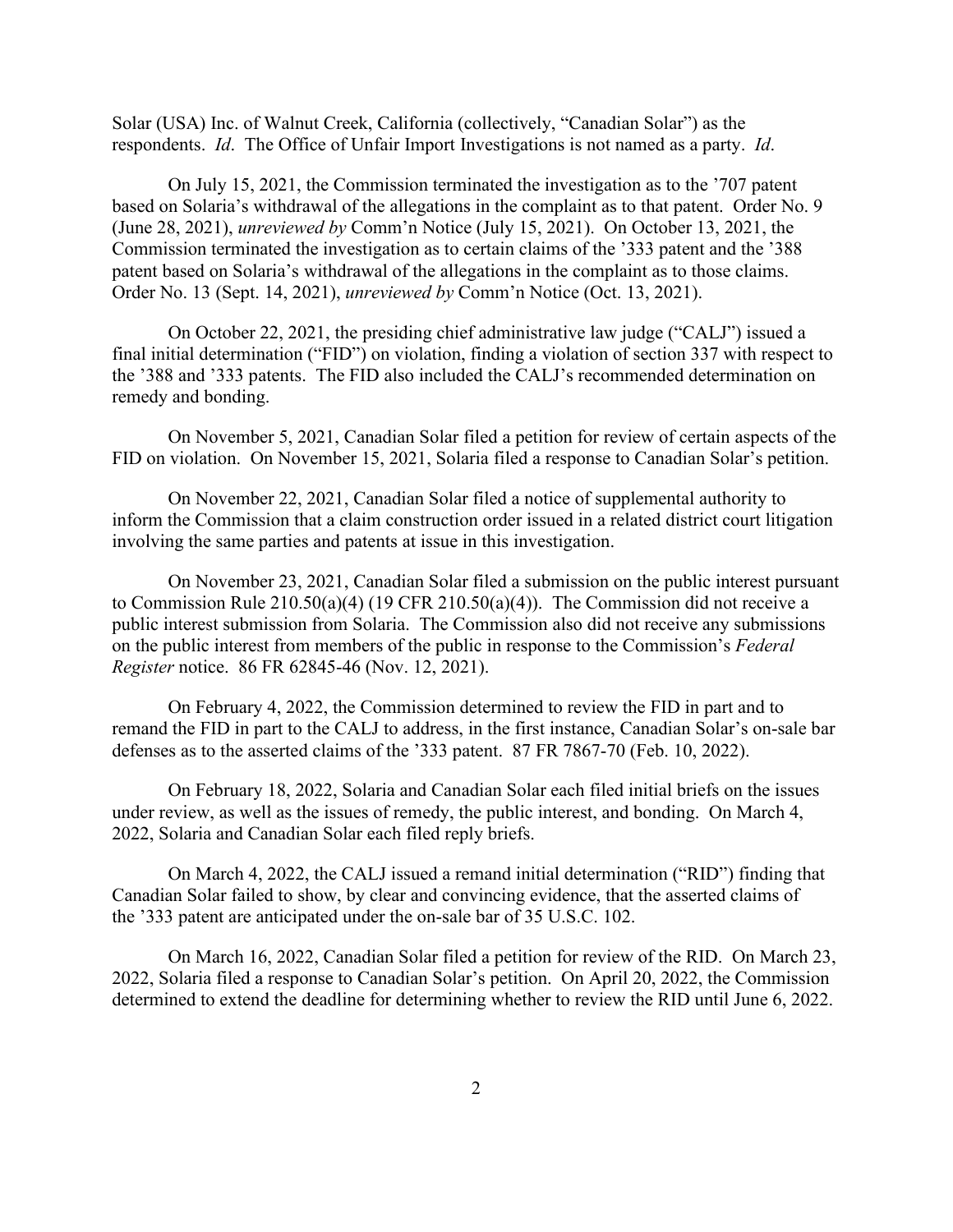Solar (USA) Inc. of Walnut Creek, California (collectively, "Canadian Solar") as the respondents. *Id*. The Office of Unfair Import Investigations is not named as a party. *Id*.

On July 15, 2021, the Commission terminated the investigation as to the '707 patent based on Solaria's withdrawal of the allegations in the complaint as to that patent. Order No. 9 (June 28, 2021), *unreviewed by* Comm'n Notice (July 15, 2021). On October 13, 2021, the Commission terminated the investigation as to certain claims of the '333 patent and the '388 patent based on Solaria's withdrawal of the allegations in the complaint as to those claims. Order No. 13 (Sept. 14, 2021), *unreviewed by* Comm'n Notice (Oct. 13, 2021).

On October 22, 2021, the presiding chief administrative law judge ("CALJ") issued a final initial determination ("FID") on violation, finding a violation of section 337 with respect to the '388 and '333 patents. The FID also included the CALJ's recommended determination on remedy and bonding.

On November 5, 2021, Canadian Solar filed a petition for review of certain aspects of the FID on violation. On November 15, 2021, Solaria filed a response to Canadian Solar's petition.

On November 22, 2021, Canadian Solar filed a notice of supplemental authority to inform the Commission that a claim construction order issued in a related district court litigation involving the same parties and patents at issue in this investigation.

On November 23, 2021, Canadian Solar filed a submission on the public interest pursuant to Commission Rule 210.50(a)(4) (19 CFR 210.50(a)(4)). The Commission did not receive a public interest submission from Solaria. The Commission also did not receive any submissions on the public interest from members of the public in response to the Commission's *Federal Register* notice. 86 FR 62845-46 (Nov. 12, 2021).

On February 4, 2022, the Commission determined to review the FID in part and to remand the FID in part to the CALJ to address, in the first instance, Canadian Solar's on-sale bar defenses as to the asserted claims of the '333 patent. 87 FR 7867-70 (Feb. 10, 2022).

On February 18, 2022, Solaria and Canadian Solar each filed initial briefs on the issues under review, as well as the issues of remedy, the public interest, and bonding. On March 4, 2022, Solaria and Canadian Solar each filed reply briefs.

On March 4, 2022, the CALJ issued a remand initial determination ("RID") finding that Canadian Solar failed to show, by clear and convincing evidence, that the asserted claims of the '333 patent are anticipated under the on-sale bar of 35 U.S.C. 102.

On March 16, 2022, Canadian Solar filed a petition for review of the RID. On March 23, 2022, Solaria filed a response to Canadian Solar's petition. On April 20, 2022, the Commission determined to extend the deadline for determining whether to review the RID until June 6, 2022.